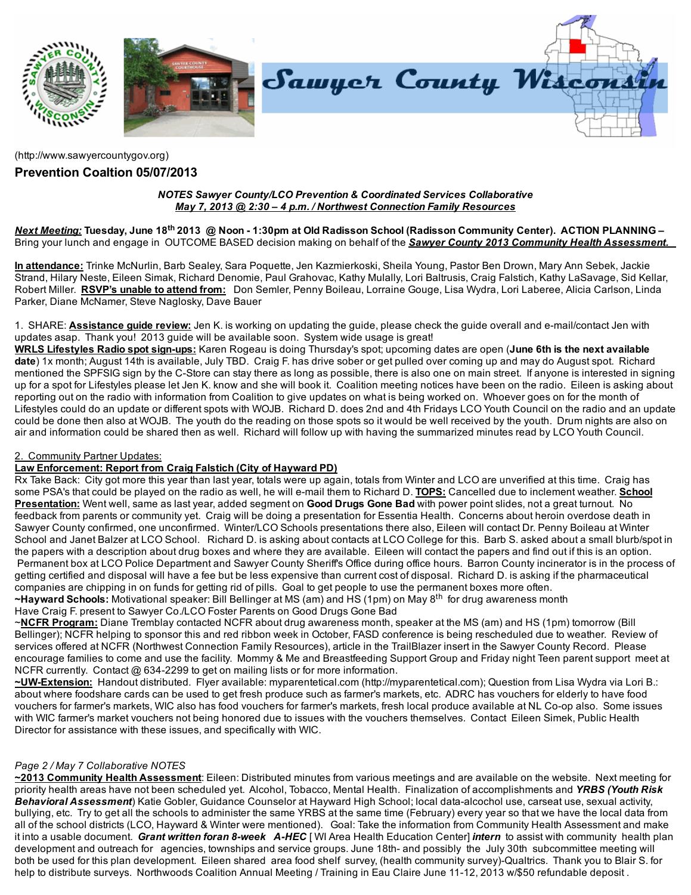

[\(http://www.sawyercountygov.org\)](http://www.sawyercountygov.org/)

## Prevention Coaltion 05/07/2013

#### NOTES Sawyer County/LCO Prevention & Coordinated Services Collaborative May 7, 2013 @ 2:30 – 4 p.m. / Northwest Connection Family Resources

<u>Next Meeting:</u> Tuesday, June 18<sup>th</sup> 2013 @ Noon - 1:30pm at Old Radisson School (Radisson Community Center). ACTION PLANNING – Bring your lunch and engage in OUTCOME BASED decision making on behalf of the **Sawyer County 2013 Community Health Assessment**.

In attendance: Trinke McNurlin, Barb Sealey, Sara Poquette, Jen Kazmierkoski, Sheila Young, Pastor Ben Drown, Mary Ann Sebek, Jackie Strand, Hilary Neste, Eileen Simak, Richard Denomie, Paul Grahovac, Kathy Mulally, Lori Baltrusis, Craig Falstich, Kathy LaSavage, Sid Kellar, Robert Miller. RSVP's unable to attend from: Don Semler, Penny Boileau, Lorraine Gouge, Lisa Wydra, Lori Laberee, Alicia Carlson, Linda Parker, Diane McNamer, Steve Naglosky, Dave Bauer

1. SHARE: **Assistance quide review:** Jen K. is working on updating the guide, please check the guide overall and e-mail/contact Jen with updates asap. Thank you! 2013 guide will be available soon. System wide usage is great!

WRLS Lifestyles Radio spot sign-ups: Karen Rogeau is doing Thursday's spot; upcoming dates are open (June 6th is the next available date) 1x month; August 14th is available, July TBD. Craig F. has drive sober or get pulled over coming up and may do August spot. Richard mentioned the SPFSIG sign by the C-Store can stay there as long as possible, there is also one on main street. If anyone is interested in signing up for a spot for Lifestyles please let Jen K. know and she will book it. Coalition meeting notices have been on the radio. Eileen is asking about reporting out on the radio with information from Coalition to give updates on what is being worked on. Whoever goes on for the month of Lifestyles could do an update or different spots with WOJB. Richard D. does 2nd and 4th Fridays LCO Youth Council on the radio and an update could be done then also at WOJB. The youth do the reading on those spots so it would be well received by the youth. Drum nights are also on air and information could be shared then as well. Richard will follow up with having the summarized minutes read by LCO Youth Council.

## 2. Community Partner Updates:

## Law Enforcement: Report from Craig Falstich (City of Hayward PD)

Rx Take Back: City got more this year than last year, totals were up again, totals from Winter and LCO are unverified at this time. Craig has some PSA's that could be played on the radio as well, he will e-mail them to Richard D. TOPS: Cancelled due to inclement weather. School Presentation: Went well, same as last year, added segment on Good Drugs Gone Bad with power point slides, not a great turnout. No feedback from parents or community yet. Craig will be doing a presentation for Essentia Health. Concerns about heroin overdose death in Sawyer County confirmed, one unconfirmed. Winter/LCO Schools presentations there also, Eileen will contact Dr. Penny Boileau at Winter School and Janet Balzer at LCO School. Richard D. is asking about contacts at LCO College for this. Barb S. asked about a small blurb/spot in the papers with a description about drug boxes and where they are available. Eileen will contact the papers and find out if this is an option. Permanent box at LCO Police Department and Sawyer County Sheriff's Office during office hours. Barron County incinerator is in the process of getting certified and disposal will have a fee but be less expensive than current cost of disposal. Richard D. is asking if the pharmaceutical companies are chipping in on funds for getting rid of pills. Goal to get people to use the permanent boxes more often.

~Hayward Schools: Motivational speaker: Bill Bellinger at MS (am) and HS (1pm) on May 8<sup>th</sup> for drug awareness month

Have Craig F. present to Sawyer Co./LCO Foster Parents on Good Drugs Gone Bad

~NCFR Program: Diane Tremblay contacted NCFR about drug awareness month, speaker at the MS (am) and HS (1pm) tomorrow (Bill Bellinger); NCFR helping to sponsor this and red ribbon week in October, FASD conference is being rescheduled due to weather. Review of services offered at NCFR (Northwest Connection Family Resources), article in the TrailBlazer insert in the Sawyer County Record. Please encourage families to come and use the facility. Mommy & Me and Breastfeeding Support Group and Friday night Teen parent support meet at NCFR currently. Contact @ 634-2299 to get on mailing lists or for more information.

~UW-Extension: Handout distributed. Flyer available: myparentetical.com [\(http://myparentetical.com\);](http://myparentetical.com/) Question from Lisa Wydra via Lori B.: about where foodshare cards can be used to get fresh produce such as farmer's markets, etc. ADRC has vouchers for elderly to have food vouchers for farmer's markets, WIC also has food vouchers for farmer's markets, fresh local produce available at NL Co-op also. Some issues with WIC farmer's market vouchers not being honored due to issues with the vouchers themselves. Contact Eileen Simek, Public Health Director for assistance with these issues, and specifically with WIC.

## Page 2 / May 7 Collaborative NOTES

~2013 Community Health Assessment: Eileen: Distributed minutes from various meetings and are available on the website. Next meeting for priority health areas have not been scheduled yet. Alcohol, Tobacco, Mental Health. Finalization of accomplishments and YRBS (Youth Risk Behavioral Assessment) Katie Gobler, Guidance Counselor at Hayward High School; local data-alcochol use, carseat use, sexual activity, bullying, etc. Try to get all the schools to administer the same YRBS at the same time (February) every year so that we have the local data from all of the school districts (LCO, Hayward & Winter were mentioned). Goal: Take the information from Community Health Assessment and make it into a usable document. Grant written foran 8-week A-HEC [WI Area Health Education Center] intern to assist with community health plan development and outreach for agencies, townships and service groups. June 18th- and possibly the July 30th subcommittee meeting will both be used for this plan development. Eileen shared area food shelf survey, (health community survey)-Qualtrics. Thank you to Blair S. for help to distribute surveys. Northwoods Coalition Annual Meeting / Training in Eau Claire June 11-12, 2013 w/\$50 refundable deposit.